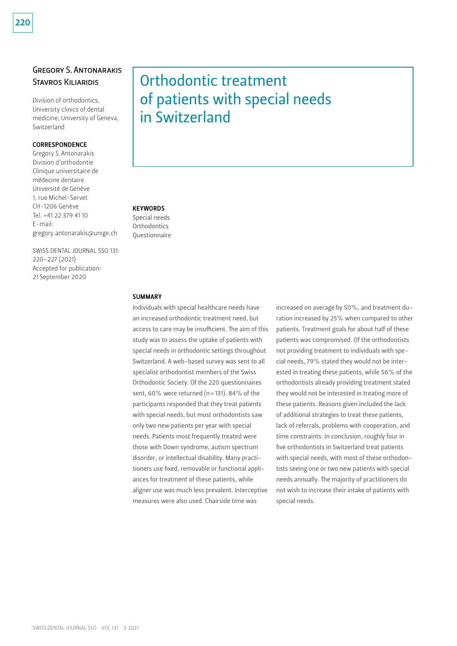# Gregory S. Antonarakis STAVROS KILIARIDIS

Division of orthodontics, University clinics of dental medicine, University of Geneva, Switzerland

## CORRESPONDENCE

220

Gregory S.Antonarakis Division d'orthodontie Clinique universitaire de médecine dentaire Université de Genève 1, rue Michel-Servet CH-1206 Genève Tel. +41 22 379 41 10 E-mail: gregory.antonarakis@unige.ch

SWISS DENTAL JOURNAL SSO 131: 220–227 (2021) Accepted for publication: 21 September 2020

# Orthodontic treatment of patients with special needs in Switzerland

## **KEYWORDS**

Special needs **Orthodontics** Questionnaire

#### **SUMMARY**

Individuals with special healthcare needs have an increased orthodontic treatment need, but access to care may be insufficient. The aim of this study was to assess the uptake of patients with special needs in orthodontic settings throughout Switzerland. A web-based survey was sent to all specialist orthodontist members of the Swiss Orthodontic Society. Of the 220 questionnaires sent, 60% were returned (n=131). 84% of the participants responded that they treat patients with special needs, but most orthodontists saw only two new patients per year with special needs. Patients most frequently treated were those with Down syndrome, autism spectrum disorder, or intellectual disability. Many practitioners use fixed, removable or functional appliances for treatment of these patients, while aligner use was much less prevalent. Interceptive measures were also used. Chairside time was

increased on average by 50%, and treatment duration increased by 25% when compared to other patients. Treatment goals for about half of these patients was compromised. Of the orthodontists not providing treatment to individuals with special needs, 79% stated they would not be interested in treating these patients, while 56% of the orthodontists already providing treatment stated they would not be interested in treating more of these patients. Reasons given included the lack of additional strategies to treat these patients, lack of referrals, problems with cooperation, and time constraints. In conclusion, roughly four in five orthodontists in Switzerland treat patients with special needs, with most of these orthodontists seeing one or two new patients with special needs annually. The majority of practitioners do not wish to increase their intake of patients with special needs.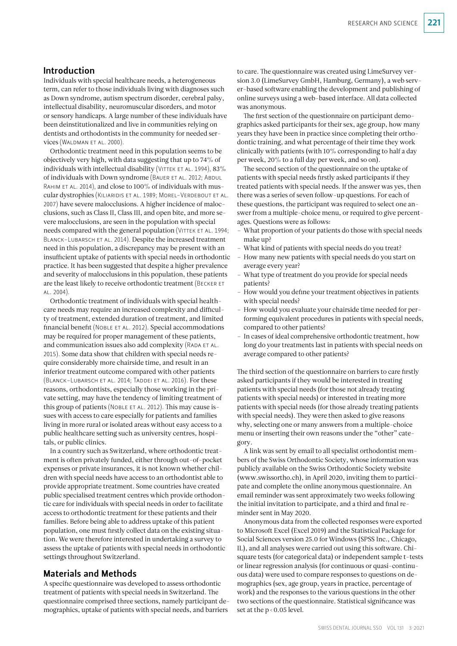## Introduction

Individuals with special healthcare needs, a heterogeneous term, can refer to those individuals living with diagnoses such as Down syndrome, autism spectrum disorder, cerebral palsy, intellectual disability, neuromuscular disorders, and motor or sensory handicaps. A large number of these individuals have been deinstitutionalized and live in communities relying on dentists and orthodontists in the community for needed services (Waldman et al. 2000).

Orthodontic treatment need in this population seems to be objectively very high, with data suggesting that up to 74% of individuals with intellectual disability ( $V$ ITTEK ET AL. 1994), 83% of individuals with Down syndrome (BAUER ET AL. 2012; ABDUL RAHIM ET AL. 2014), and close to 100% of individuals with muscular dystrophies (Kiliaridis et al. 1989; Morel-Verdebout et al. 2007) have severe malocclusions. A higher incidence of malocclusions, such as Class II, Class III, and open bite, and more severe malocclusions, are seen in the population with special needs compared with the general population (VITTEK ET AL. 1994; BLANCK-LUBARSCH ET AL. 2014). Despite the increased treatment need in this population, a discrepancy may be present with an insufficient uptake of patients with special needs in orthodontic practice. It has been suggested that despite a higher prevalence and severity of malocclusions in this population, these patients are the least likely to receive orthodontic treatment (Becker et al. 2004).

Orthodontic treatment of individuals with special healthcare needs may require an increased complexity and difficulty of treatment, extended duration of treatment, and limited financial benefit (Noble et al. 2012). Special accommodations may be required for proper management of these patients, and communication issues also add complexity (RADA ET AL. 2015). Some data show that children with special needs require considerably more chairside time, and result in an inferior treatment outcome compared with other patients (Blanck-Lubarsch et al. 2014; Taddei et al. 2016). For these reasons, orthodontists, especially those working in the private setting, may have the tendency of limiting treatment of this group of patients (NOBLE ET AL. 2012). This may cause issues with access to care especially for patients and families living in more rural or isolated areas without easy access to a public healthcare setting such as university centres, hospitals, or public clinics.

In a country such as Switzerland, where orthodontic treatment is often privately funded, either through out-of-pocket expenses or private insurances, it is not known whether children with special needs have access to an orthodontist able to provide appropriate treatment. Some countries have created public specialised treatment centres which provide orthodontic care for individuals with special needs in order to facilitate access to orthodontic treatment for these patients and their families. Before being able to address uptake of this patient population, one must firstly collect data on the existing situation. We were therefore interested in undertaking a survey to assess the uptake of patients with special needs in orthodontic settings throughout Switzerland.

# Materials and Methods

A specific questionnaire was developed to assess orthodontic treatment of patients with special needs in Switzerland. The questionnaire comprised three sections, namely participant demographics, uptake of patients with special needs, and barriers

to care. The questionnaire was created using LimeSurvey version 3.0 (LimeSurvey GmbH, Hamburg, Germany), a web server-based software enabling the development and publishing of online surveys using a web-based interface. All data collected was anonymous.

The first section of the questionnaire on participant demographics asked participants for their sex, age group, how many years they have been in practice since completing their orthodontic training, and what percentage of their time they work clinically with patients (with 10% corresponding to half a day per week, 20% to a full day per week, and so on).

The second section of the questionnaire on the uptake of patients with special needs firstly asked participants if they treated patients with special needs. If the answer was yes, then there was a series of seven follow-up questions. For each of these questions, the participant was required to select one answer from a multiple-choice menu, or required to give percentages. Questions were as follows:

- What proportion of your patients do those with special needs make up?
- What kind of patients with special needs do you treat?
- How many new patients with special needs do you start on average every year?
- What type of treatment do you provide for special needs patients?
- How would you define your treatment objectives in patients with special needs?
- How would you evaluate your chairside time needed for performing equivalent procedures in patients with special needs, compared to other patients?
- In cases of ideal comprehensive orthodontic treatment, how long do your treatments last in patients with special needs on average compared to other patients?

The third section of the questionnaire on barriers to care firstly asked participants if they would be interested in treating patients with special needs (for those not already treating patients with special needs) or interested in treating more patients with special needs (for those already treating patients with special needs). They were then asked to give reasons why, selecting one or many answers from a multiple-choice menu or inserting their own reasons under the "other" category.

A link was sent by email to all specialist orthodontist members of the Swiss Orthodontic Society, whose information was publicly available on the Swiss Orthodontic Society website (www.swissortho.ch), in April 2020, inviting them to participate and complete the online anonymous questionnaire. An email reminder was sent approximately two weeks following the initial invitation to participate, and a third and final reminder sent in May 2020.

Anonymous data from the collected responses were exported to Microsoft Excel (Excel 2019) and the Statistical Package for Social Sciences version 25.0 for Windows (SPSS Inc., Chicago, IL), and all analyses were carried out using this software. Chisquare tests (for categorical data) or independent sample t-tests or linear regression analysis (for continuous or quasi-continuous data) were used to compare responses to questions on demographics (sex, age group, years in practice, percentage of work) and the responses to the various questions in the other two sections of the questionnaire. Statistical significance was set at the p < 0.05 level.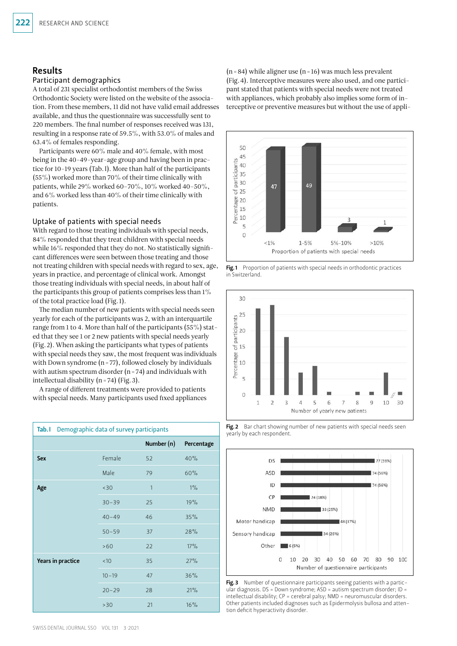## Results

## Participant demographics

A total of 231 specialist orthodontist members of the Swiss Orthodontic Society were listed on the website of the association. From these members, 11 did not have valid email addresses available, and thus the questionnaire was successfully sent to 220 members. The final number of responses received was 131, resulting in a response rate of 59.5%, with 53.0% of males and 63.4% of females responding.

Participants were 60% male and 40% female, with most being in the 40-49-year-age group and having been in practice for 10-19 years (Tab.I). More than half of the participants (55%) worked more than 70% of their time clinically with patients, while 29% worked 60–70%, 10% worked 40–50%, and 6% worked less than 40% of their time clinically with patients.

## Uptake of patients with special needs

With regard to those treating individuals with special needs, 84% responded that they treat children with special needs while 16% responded that they do not. No statistically significant differences were seen between those treating and those not treating children with special needs with regard to sex, age, years in practice, and percentage of clinical work. Amongst those treating individuals with special needs, in about half of the participants this group of patients comprises less than 1% of the total practice load (Fig.1).

The median number of new patients with special needs seen yearly for each of the participants was 2, with an interquartile range from 1 to 4. More than half of the participants (55%) stated that they see 1 or 2 new patients with special needs yearly (Fig.2). When asking the participants what types of patients with special needs they saw, the most frequent was individuals with Down syndrome  $(n=77)$ , followed closely by individuals with autism spectrum disorder  $(n=74)$  and individuals with intellectual disability  $(n=74)$  (Fig. 3).

A range of different treatments were provided to patients with special needs. Many participants used fixed appliances

| Demographic data of survey participants<br>Tab. I |           |            |            |
|---------------------------------------------------|-----------|------------|------------|
|                                                   |           | Number (n) | Percentage |
| Sex                                               | Female    | 52         | 40%        |
|                                                   | Male      | 79         | 60%        |
| Age                                               | $30$      | 1          | $1\%$      |
|                                                   | $30 - 39$ | 25         | 19%        |
|                                                   | $40 - 49$ | 46         | 35%        |
|                                                   | $50 - 59$ | 37         | 28%        |
|                                                   | >60       | 22         | $17\%$     |
| Years in practice                                 | < 10      | 35         | 27%        |
|                                                   | $10 - 19$ | 47         | 36%        |
|                                                   | $20 - 29$ | 28         | 21%        |
|                                                   | >30       | 21         | 16%        |

 $(n=84)$  while aligner use  $(n=16)$  was much less prevalent (Fig.4). Interceptive measures were also used, and one participant stated that patients with special needs were not treated with appliances, which probably also implies some form of interceptive or preventive measures but without the use of appli-



Fig.1 Proportion of patients with special needs in orthodontic practices in Switzerland.



Fig. 2 Bar chart showing number of new patients with special needs seen yearly by each respondent.



Fig. 3 Number of questionnaire participants seeing patients with a particular diagnosis. DS = Down syndrome; ASD = autism spectrum disorder; ID = intellectual disability; CP = cerebral palsy; NMD = neuromuscular disorders. Other patients included diagnoses such as Epidermolysis bullosa and attention deficit hyperactivity disorder.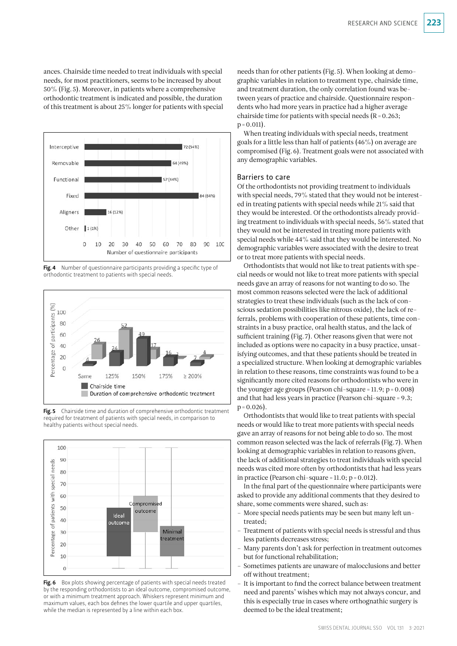ances. Chairside time needed to treat individuals with special needs, for most practitioners, seems to be increased by about 50% (Fig.5). Moreover, in patients where a comprehensive orthodontic treatment is indicated and possible, the duration of this treatment is about 25% longer for patients with special



Fig. 4 Number of questionnaire participants providing a specific type of orthodontic treatment to patients with special needs.



Fig. 5 Chairside time and duration of comprehensive orthodontic treatment required for treatment of patients with special needs, in comparison to healthy patients without special needs.



Fig. 6 Box plots showing percentage of patients with special needs treated by the responding orthodontists to an ideal outcome, compromised outcome, or with a minimum treatment approach. Whiskers represent minimum and maximum values, each box defines the lower quartile and upper quartiles, while the median is represented by a line within each box.

needs than for other patients (Fig.5). When looking at demographic variables in relation to treatment type, chairside time, and treatment duration, the only correlation found was between years of practice and chairside. Questionnaire respondents who had more years in practice had a higher average chairside time for patients with special needs ( $R = 0.263$ ;  $p = 0.011$ ).

When treating individuals with special needs, treatment goals for a little less than half of patients (46%) on average are compromised (Fig.6). Treatment goals were not associated with any demographic variables.

### Barriers to care

Of the orthodontists not providing treatment to individuals with special needs, 79% stated that they would not be interested in treating patients with special needs while 21% said that they would be interested. Of the orthodontists already providing treatment to individuals with special needs, 56% stated that they would not be interested in treating more patients with special needs while 44% said that they would be interested. No demographic variables were associated with the desire to treat or to treat more patients with special needs.

Orthodontists that would not like to treat patients with special needs or would not like to treat more patients with special needs gave an array of reasons for not wanting to do so. The most common reasons selected were the lack of additional strategies to treat these individuals (such as the lack of conscious sedation possibilities like nitrous oxide), the lack of referrals, problems with cooperation of these patients, time constraints in a busy practice, oral health status, and the lack of sufficient training (Fig.7). Other reasons given that were not included as options were no capacity in a busy practice, unsatisfying outcomes, and that these patients should be treated in a specialized structure. When looking at demographic variables in relation to these reasons, time constraints was found to be a significantly more cited reasons for orthodontists who were in the younger age groups (Pearson chi-square =  $11.9$ ;  $p = 0.008$ ) and that had less years in practice (Pearson chi-square = 9.3;  $p = 0.026$ ).

Orthodontists that would like to treat patients with special needs or would like to treat more patients with special needs gave an array of reasons for not being able to do so. The most common reason selected was the lack of referrals (Fig.7). When looking at demographic variables in relation to reasons given, the lack of additional strategies to treat individuals with special needs was cited more often by orthodontists that had less years in practice (Pearson chi-square =  $11.0$ ; p =  $0.012$ ).

In the final part of the questionnaire where participants were asked to provide any additional comments that they desired to share, some comments were shared, such as:

- More special needs patients may be seen but many left untreated;
- Treatment of patients with special needs is stressful and thus less patients decreases stress;
- Many parents don't ask for perfection in treatment outcomes but for functional rehabilitation;
- Sometimes patients are unaware of malocclusions and better off without treatment;
- It is important to find the correct balance between treatment need and parents' wishes which may not always concur, and this is especially true in cases where orthognathic surgery is deemed to be the ideal treatment;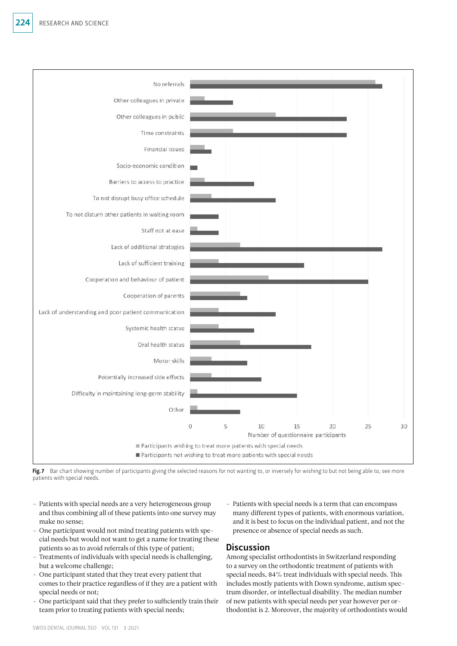

Fig. 7 Bar chart showing number of participants giving the selected reasons for not wanting to, or inversely for wishing to but not being able to, see more patients with special needs.

- Patients with special needs are a very heterogeneous group and thus combining all of these patients into one survey may make no sense;
- One participant would not mind treating patients with special needs but would not want to get a name for treating these patients so as to avoid referrals of this type of patient;
- Treatments of individuals with special needs is challenging, but a welcome challenge;
- One participant stated that they treat every patient that comes to their practice regardless of if they are a patient with special needs or not;
- One participant said that they prefer to sufficiently train their team prior to treating patients with special needs;
- Patients with special needs is a term that can encompass many different types of patients, with enormous variation, and it is best to focus on the individual patient, and not the presence or absence of special needs as such.

# **Discussion**

Among specialist orthodontists in Switzerland responding to a survey on the orthodontic treatment of patients with special needs, 84% treat individuals with special needs. This includes mostly patients with Down syndrome, autism spectrum disorder, or intellectual disability. The median number of new patients with special needs per year however per orthodontist is 2. Moreover, the majority of orthodontists would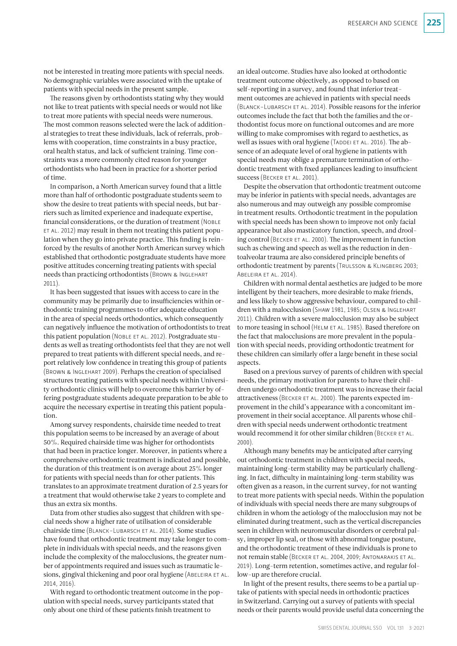not be interested in treating more patients with special needs. No demographic variables were associated with the uptake of patients with special needs in the present sample.

The reasons given by orthodontists stating why they would not like to treat patients with special needs or would not like to treat more patients with special needs were numerous. The most common reasons selected were the lack of additional strategies to treat these individuals, lack of referrals, problems with cooperation, time constraints in a busy practice, oral health status, and lack of sufficient training. Time constraints was a more commonly cited reason for younger orthodontists who had been in practice for a shorter period of time.

In comparison, a North American survey found that a little more than half of orthodontic postgraduate students seem to show the desire to treat patients with special needs, but barriers such as limited experience and inadequate expertise, financial considerations, or the duration of treatment (Noble et al. 2012) may result in them not treating this patient population when they go into private practice. This finding is reinforced by the results of another North American survey which established that orthodontic postgraduate students have more positive attitudes concerning treating patients with special needs than practicing orthodontists (Brown & Inglehart 2011).

It has been suggested that issues with access to care in the community may be primarily due to insufficiencies within orthodontic training programmes to offer adequate education in the area of special needs orthodontics, which consequently can negatively influence the motivation of orthodontists to treat this patient population (NOBLE ET AL. 2012). Postgraduate students as well as treating orthodontists feel that they are not well prepared to treat patients with different special needs, and report relatively low confidence in treating this group of patients (Brown & Inglehart 2009). Perhaps the creation of specialised structures treating patients with special needs within University orthodontic clinics will help to overcome this barrier by offering postgraduate students adequate preparation to be able to acquire the necessary expertise in treating this patient population.

Among survey respondents, chairside time needed to treat this population seems to be increased by an average of about 50%. Required chairside time was higher for orthodontists that had been in practice longer. Moreover, in patients where a comprehensive orthodontic treatment is indicated and possible, the duration of this treatment is on average about 25% longer for patients with special needs than for other patients. This translates to an approximate treatment duration of 2.5 years for a treatment that would otherwise take 2 years to complete and thus an extra six months.

Data from other studies also suggest that children with special needs show a higher rate of utilisation of considerable chairside time (BLANCK-LUBARSCH ET AL. 2014). Some studies have found that orthodontic treatment may take longer to complete in individuals with special needs, and the reasons given include the complexity of the malocclusions, the greater number of appointments required and issues such as traumatic lesions, gingival thickening and poor oral hygiene (ABELEIRA ET AL. 2014, 2016).

With regard to orthodontic treatment outcome in the population with special needs, survey participants stated that only about one third of these patients finish treatment to

an ideal outcome. Studies have also looked at orthodontic treatment outcome objectively, as opposed to based on self-reporting in a survey, and found that inferior treatment outcomes are achieved in patients with special needs (Blanck-Lubarsch et al. 2014). Possible reasons for the inferior outcomes include the fact that both the families and the orthodontist focus more on functional outcomes and are more willing to make compromises with regard to aesthetics, as well as issues with oral hygiene (TADDEI ET AL. 2016). The absence of an adequate level of oral hygiene in patients with special needs may oblige a premature termination of orthodontic treatment with fixed appliances leading to insufficient success (Becker et al. 2001).

Despite the observation that orthodontic treatment outcome may be inferior in patients with special needs, advantages are also numerous and may outweigh any possible compromise in treatment results. Orthodontic treatment in the population with special needs has been shown to improve not only facial appearance but also masticatory function, speech, and drooling control (Becker et al. 2000). The improvement in function such as chewing and speech as well as the reduction in dentoalveolar trauma are also considered principle benefits of orthodontic treatment by parents (TRULSSON & KLINGBERG 2003; Abeleira et al. 2014).

Children with normal dental aesthetics are judged to be more intelligent by their teachers, more desirable to make friends, and less likely to show aggressive behaviour, compared to children with a malocclusion (Shaw 1981, 1985; Olsen & Inglehart 2011). Children with a severe malocclusion may also be subject to more teasing in school (Helm et al. 1985). Based therefore on the fact that malocclusions are more prevalent in the population with special needs, providing orthodontic treatment for these children can similarly offer a large benefit in these social aspects.

Based on a previous survey of parents of children with special needs, the primary motivation for parents to have their children undergo orthodontic treatment was to increase their facial attractiveness (Becker et al. 2000). The parents expected improvement in the child's appearance with a concomitant improvement in their social acceptance. All parents whose children with special needs underwent orthodontic treatment would recommend it for other similar children (Becker et al. 2000).

Although many benefits may be anticipated after carrying out orthodontic treatment in children with special needs, maintaining long-term stability may be particularly challenging. In fact, difficulty in maintaining long-term stability was often given as a reason, in the current survey, for not wanting to treat more patients with special needs. Within the population of individuals with special needs there are many subgroups of children in whom the aetiology of the malocclusion may not be eliminated during treatment, such as the vertical discrepancies seen in children with neuromuscular disorders or cerebral palsy, improper lip seal, or those with abnormal tongue posture, and the orthodontic treatment of these individuals is prone to not remain stable (Becker et al. 2004, 2009; Antonarakis et al. 2019). Long-term retention, sometimes active, and regular follow-up are therefore crucial.

In light of the present results, there seems to be a partial uptake of patients with special needs in orthodontic practices in Switzerland. Carrying out a survey of patients with special needs or their parents would provide useful data concerning the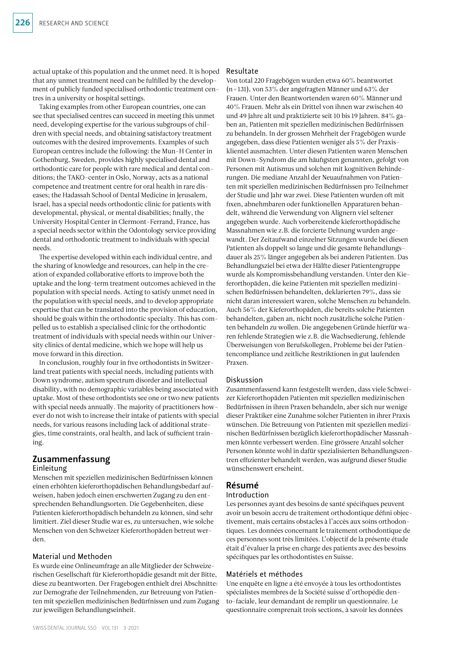actual uptake of this population and the unmet need. It is hoped that any unmet treatment need can be fulfilled by the development of publicly funded specialised orthodontic treatment centres in a university or hospital settings.

Taking examples from other European countries, one can see that specialised centres can succeed in meeting this unmet need, developing expertise for the various subgroups of children with special needs, and obtaining satisfactory treatment outcomes with the desired improvements. Examples of such European centres include the following: the Mun-H Center in Gothenburg, Sweden, provides highly specialised dental and orthodontic care for people with rare medical and dental conditions; the TAKO-center in Oslo, Norway, acts as a national competence and treatment centre for oral health in rare diseases; the Hadassah School of Dental Medicine in Jerusalem, Israel, has a special needs orthodontic clinic for patients with developmental, physical, or mental disabilities; finally, the University Hospital Center in Clermont-Ferrand, France, has a special needs sector within the Odontology service providing dental and orthodontic treatment to individuals with special needs.

The expertise developed within each individual centre, and the sharing of knowledge and resources, can help in the creation of expanded collaborative efforts to improve both the uptake and the long-term treatment outcomes achieved in the population with special needs. Acting to satisfy unmet need in the population with special needs, and to develop appropriate expertise that can be translated into the provision of education, should be goals within the orthodontic specialty. This has compelled us to establish a specialised clinic for the orthodontic treatment of individuals with special needs within our University clinics of dental medicine, which we hope will help us move forward in this direction.

In conclusion, roughly four in five orthodontists in Switzerland treat patients with special needs, including patients with Down syndrome, autism spectrum disorder and intellectual disability, with no demographic variables being associated with uptake. Most of these orthodontists see one or two new patients with special needs annually. The majority of practitioners however do not wish to increase their intake of patients with special needs, for various reasons including lack of additional strategies, time constraints, oral health, and lack of sufficient training.

# Zusammenfassung

## Einleitung

Menschen mit speziellen medizinischen Bedürfnissen können einen erhöhten kieferorthopädischen Behandlungsbedarf aufweisen, haben jedoch einen erschwerten Zugang zu den entsprechenden Behandlungsorten. Die Gegebenheiten, diese Patienten kieferorthopädisch behandeln zu können, sind sehr limitiert. Ziel dieser Studie war es, zu untersuchen, wie solche Menschen von den Schweizer Kieferorthopäden betreut werden.

## Material und Methoden

Es wurde eine Onlineumfrage an alle Mitglieder der Schweizerischen Gesellschaft für Kieferorthopädie gesandt mit der Bitte, diese zu beantworten. Der Fragebogen enthielt drei Abschnitte: zur Demografie der Teilnehmenden, zur Betreuung von Patienten mit speziellen medizinischen Bedürfnissen und zum Zugang zur jeweiligen Behandlungseinheit.

## Resultate

Von total 220 Fragebögen wurden etwa 60% beantwortet (n=131), von 53% der angefragten Männer und 63% der Frauen. Unter den Beantwortenden waren 60% Männer und 40% Frauen. Mehr als ein Drittel von ihnen war zwischen 40 und 49 Jahre alt und praktizierte seit 10 bis 19 Jahren. 84% gaben an, Patienten mit speziellen medizinischen Bedürfnissen zu behandeln. In der grossen Mehrheit der Fragebögen wurde angegeben, dass diese Patienten weniger als 5% der Praxisklientel ausmachten. Unter diesen Patienten waren Menschen mit Down-Syndrom die am häufigsten genannten, gefolgt von Personen mit Autismus und solchen mit kognitiven Behinderungen. Die mediane Anzahl der Neuaufnahmen von Patienten mit speziellen medizinischen Bedürfnissen pro Teilnehmer der Studie und Jahr war zwei. Diese Patienten wurden oft mit fixen, abnehmbaren oder funktionellen Apparaturen behandelt, während die Verwendung von Alignern viel seltener angegeben wurde. Auch vorbereitende kieferorthopädische Massnahmen wie z.B. die forcierte Dehnung wurden angewandt. Der Zeitaufwand einzelner Sitzungen wurde bei diesen Patienten als doppelt so lange und die gesamte Behandlungsdauer als 25% länger angegeben als bei anderen Patienten. Das Behandlungsziel bei etwa der Hälfte dieser Patientengruppe wurde als Kompromissbehandlung verstanden. Unter den Kieferorthopäden, die keine Patienten mit speziellen medizinischen Bedürfnissen behandelten, deklarierten 79%, dass sie nicht daran interessiert waren, solche Menschen zu behandeln. Auch 56% der Kieferorthopäden, die bereits solche Patienten behandelten, gaben an, nicht noch zusätzliche solche Patienten behandeln zu wollen. Die angegebenen Gründe hierfür waren fehlende Strategien wie z.B. die Wachsedierung, fehlende Überweisungen von Berufskollegen, Probleme bei der Patientencompliance und zeitliche Restriktionen in gut laufenden Praxen.

## Diskussion

Zusammenfassend kann festgestellt werden, dass viele Schweizer Kieferorthopäden Patienten mit speziellen medizinischen Bedürfnissen in ihren Praxen behandeln, aber sich nur wenige dieser Praktiker eine Zunahme solcher Patienten in ihrer Praxis wünschen. Die Betreuung von Patienten mit speziellen medizinischen Bedürfnissen bezüglich kieferorthopädischer Massnahmen könnte verbessert werden. Eine grössere Anzahl solcher Personen könnte wohl in dafür spezialisierten Behandlungszentren effizienter behandelt werden, was aufgrund dieser Studie wünschenswert erscheint.

# Résumé

## Introduction

Les personnes ayant des besoins de santé spécifiques peuvent avoir un besoin accru de traitement orthodontique défini objectivement, mais certains obstacles à l'accès aux soins orthodontiques. Les données concernant le traitement orthodontique de ces personnes sont très limitées. L'objectif de la présente étude était d'évaluer la prise en charge des patients avec des besoins spécifiques par les orthodontistes en Suisse.

## Matériels et méthodes

Une enquête en ligne a été envoyée à tous les orthodontistes spécialistes membres de la Société suisse d'orthopédie dento-faciale, leur demandant de remplir un questionnaire. Le questionnaire comprenait trois sections, à savoir les données